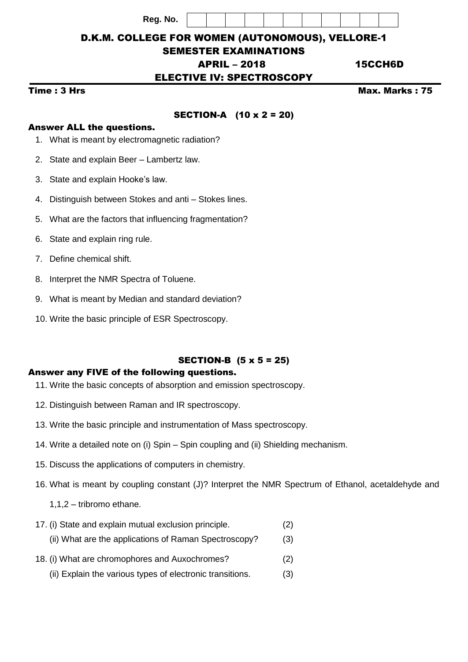**Reg. No.**

D.K.M. COLLEGE FOR WOMEN (AUTONOMOUS), VELLORE-1

# SEMESTER EXAMINATIONS

# APRIL – 2018 15CCH6D

# ELECTIVE IV: SPECTROSCOPY

# Time : 3 Hrs Max. Marks : 75

# SECTION-A (10 x 2 = 20)

#### Answer ALL the questions.

- 1. What is meant by electromagnetic radiation?
- 2. State and explain Beer Lambertz law.
- 3. State and explain Hooke's law.
- 4. Distinguish between Stokes and anti Stokes lines.
- 5. What are the factors that influencing fragmentation?
- 6. State and explain ring rule.
- 7. Define chemical shift.
- 8. Interpret the NMR Spectra of Toluene.
- 9. What is meant by Median and standard deviation?
- 10. Write the basic principle of ESR Spectroscopy.

### SECTION-B (5 x 5 = 25)

#### Answer any FIVE of the following questions.

- 11. Write the basic concepts of absorption and emission spectroscopy.
- 12. Distinguish between Raman and IR spectroscopy.
- 13. Write the basic principle and instrumentation of Mass spectroscopy.
- 14. Write a detailed note on (i) Spin Spin coupling and (ii) Shielding mechanism.
- 15. Discuss the applications of computers in chemistry.
- 16. What is meant by coupling constant (J)? Interpret the NMR Spectrum of Ethanol, acetaldehyde and
	- 1,1,2 tribromo ethane.
- 17. (i) State and explain mutual exclusion principle. (2) (ii) What are the applications of Raman Spectroscopy? (3)
- 18. (i) What are chromophores and Auxochromes? (2)
	- (ii) Explain the various types of electronic transitions. (3)